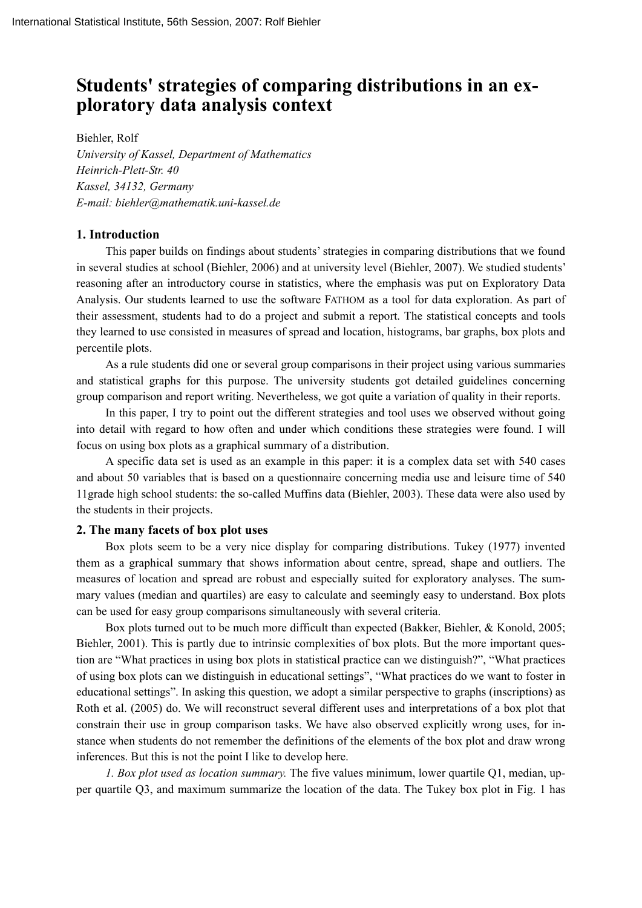# **Students' strategies of comparing distributions in an exploratory data analysis context**

Biehler, Rolf *University of Kassel, Department of Mathematics Heinrich-Plett-Str. 40 Kassel, 34132, Germany E-mail: biehler@mathematik.uni-kassel.de* 

## **1. Introduction**

This paper builds on findings about students' strategies in comparing distributions that we found in several studies at school (Biehler, 2006) and at university level (Biehler, 2007). We studied students' reasoning after an introductory course in statistics, where the emphasis was put on Exploratory Data Analysis. Our students learned to use the software FATHOM as a tool for data exploration. As part of their assessment, students had to do a project and submit a report. The statistical concepts and tools they learned to use consisted in measures of spread and location, histograms, bar graphs, box plots and percentile plots.

As a rule students did one or several group comparisons in their project using various summaries and statistical graphs for this purpose. The university students got detailed guidelines concerning group comparison and report writing. Nevertheless, we got quite a variation of quality in their reports.

In this paper, I try to point out the different strategies and tool uses we observed without going into detail with regard to how often and under which conditions these strategies were found. I will focus on using box plots as a graphical summary of a distribution.

A specific data set is used as an example in this paper: it is a complex data set with 540 cases and about 50 variables that is based on a questionnaire concerning media use and leisure time of 540 11grade high school students: the so-called Muffins data (Biehler, 2003). These data were also used by the students in their projects.

## **2. The many facets of box plot uses**

Box plots seem to be a very nice display for comparing distributions. Tukey (1977) invented them as a graphical summary that shows information about centre, spread, shape and outliers. The measures of location and spread are robust and especially suited for exploratory analyses. The summary values (median and quartiles) are easy to calculate and seemingly easy to understand. Box plots can be used for easy group comparisons simultaneously with several criteria.

Box plots turned out to be much more difficult than expected (Bakker, Biehler, & Konold, 2005; Biehler, 2001). This is partly due to intrinsic complexities of box plots. But the more important question are "What practices in using box plots in statistical practice can we distinguish?", "What practices of using box plots can we distinguish in educational settings", "What practices do we want to foster in educational settings". In asking this question, we adopt a similar perspective to graphs (inscriptions) as Roth et al. (2005) do. We will reconstruct several different uses and interpretations of a box plot that constrain their use in group comparison tasks. We have also observed explicitly wrong uses, for instance when students do not remember the definitions of the elements of the box plot and draw wrong inferences. But this is not the point I like to develop here.

*1. Box plot used as location summary.* The five values minimum, lower quartile Q1, median, upper quartile Q3, and maximum summarize the location of the data. The Tukey box plot in Fig. 1 has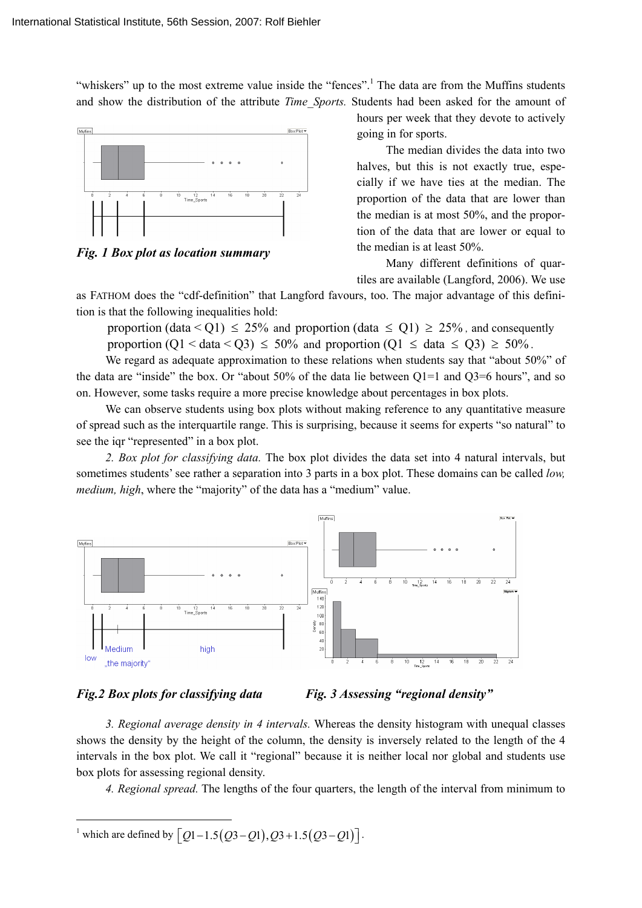"whiskers" up to the most extreme value inside the "fences".<sup>1</sup> The data are from the Muffins students and show the distribution of the attribute *Time\_Sports.* Students had been asked for the amount of



*Fig. 1 Box plot as location summary* 

hours per week that they devote to actively going in for sports.

The median divides the data into two halves, but this is not exactly true, especially if we have ties at the median. The proportion of the data that are lower than the median is at most 50%, and the proportion of the data that are lower or equal to the median is at least 50%.

Many different definitions of quartiles are available (Langford, 2006). We use

as FATHOM does the "cdf-definition" that Langford favours, too. The major advantage of this definition is that the following inequalities hold:

proportion (data  $\leq$  Q1)  $\leq$  25% and proportion (data  $\leq$  Q1)  $\geq$  25%, and consequently proportion  $(Q1 < \text{data} < Q3) \le 50\%$  and proportion  $(Q1 \le \text{data} \le Q3) \ge 50\%$ .

We regard as adequate approximation to these relations when students say that "about 50%" of the data are "inside" the box. Or "about 50% of the data lie between Q1=1 and Q3=6 hours", and so on. However, some tasks require a more precise knowledge about percentages in box plots.

We can observe students using box plots without making reference to any quantitative measure of spread such as the interquartile range. This is surprising, because it seems for experts "so natural" to see the iqr "represented" in a box plot.

*2. Box plot for classifying data.* The box plot divides the data set into 4 natural intervals, but sometimes students' see rather a separation into 3 parts in a box plot. These domains can be called *low, medium, high*, where the "majority" of the data has a "medium" value.





*3. Regional average density in 4 intervals.* Whereas the density histogram with unequal classes shows the density by the height of the column, the density is inversely related to the length of the 4 intervals in the box plot. We call it "regional" because it is neither local nor global and students use box plots for assessing regional density.

*4. Regional spread.* The lengths of the four quarters, the length of the interval from minimum to

<sup>1</sup> which are defined by  $[Q1 - 1.5(Q3 - Q1), Q3 + 1.5(Q3 - Q1)].$ 

 $\overline{a}$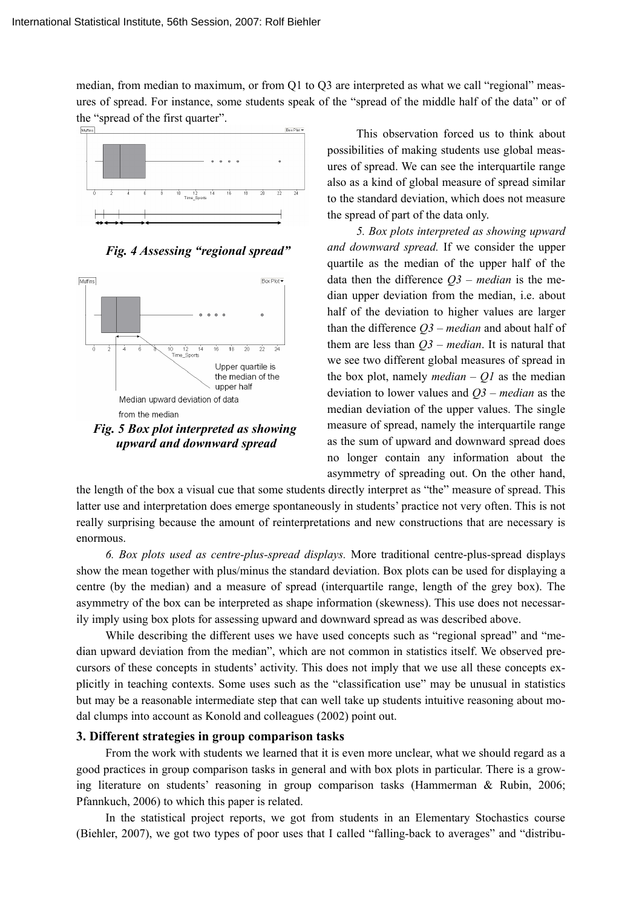median, from median to maximum, or from Q1 to Q3 are interpreted as what we call "regional" measures of spread. For instance, some students speak of the "spread of the middle half of the data" or of the "spread of the first quarter".



*Fig. 4 Assessing "regional spread"*



 *upward and downward spread* 

This observation forced us to think about possibilities of making students use global measures of spread. We can see the interquartile range also as a kind of global measure of spread similar to the standard deviation, which does not measure the spread of part of the data only.

*5. Box plots interpreted as showing upward and downward spread.* If we consider the upper quartile as the median of the upper half of the data then the difference *Q3 – median* is the median upper deviation from the median, i.e. about half of the deviation to higher values are larger than the difference *Q3 – median* and about half of them are less than *Q3 – median*. It is natural that we see two different global measures of spread in the box plot, namely *median – Q1* as the median deviation to lower values and *Q3 – median* as the median deviation of the upper values. The single measure of spread, namely the interquartile range as the sum of upward and downward spread does no longer contain any information about the asymmetry of spreading out. On the other hand,

the length of the box a visual cue that some students directly interpret as "the" measure of spread. This latter use and interpretation does emerge spontaneously in students' practice not very often. This is not really surprising because the amount of reinterpretations and new constructions that are necessary is enormous.

*6. Box plots used as centre-plus-spread displays.* More traditional centre-plus-spread displays show the mean together with plus/minus the standard deviation. Box plots can be used for displaying a centre (by the median) and a measure of spread (interquartile range, length of the grey box). The asymmetry of the box can be interpreted as shape information (skewness). This use does not necessarily imply using box plots for assessing upward and downward spread as was described above.

While describing the different uses we have used concepts such as "regional spread" and "median upward deviation from the median", which are not common in statistics itself. We observed precursors of these concepts in students' activity. This does not imply that we use all these concepts explicitly in teaching contexts. Some uses such as the "classification use" may be unusual in statistics but may be a reasonable intermediate step that can well take up students intuitive reasoning about modal clumps into account as Konold and colleagues (2002) point out.

# **3. Different strategies in group comparison tasks**

From the work with students we learned that it is even more unclear, what we should regard as a good practices in group comparison tasks in general and with box plots in particular. There is a growing literature on students' reasoning in group comparison tasks (Hammerman & Rubin, 2006; Pfannkuch, 2006) to which this paper is related.

In the statistical project reports, we got from students in an Elementary Stochastics course (Biehler, 2007), we got two types of poor uses that I called "falling-back to averages" and "distribu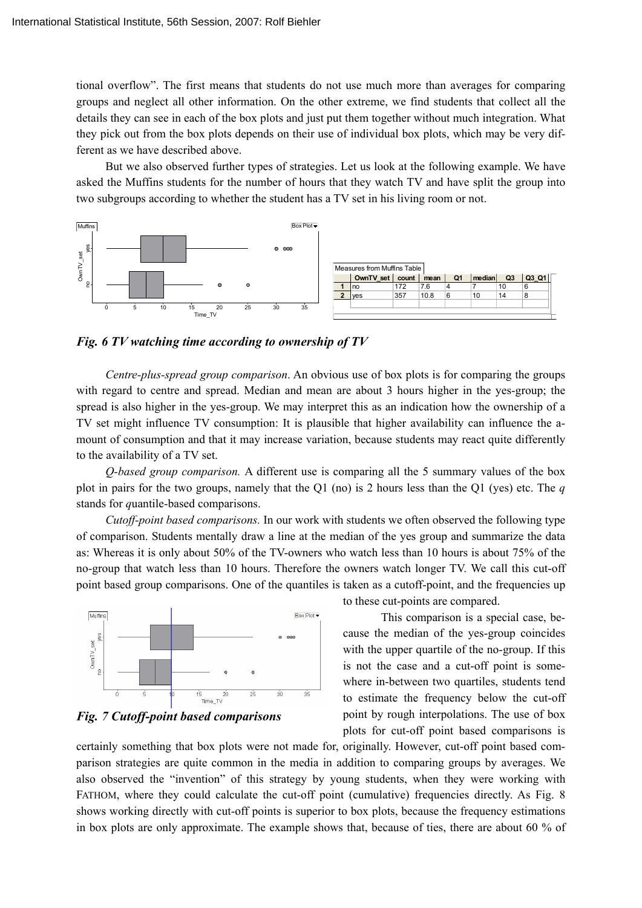tional overflow". The first means that students do not use much more than averages for comparing groups and neglect all other information. On the other extreme, we find students that collect all the details they can see in each of the box plots and just put them together without much integration. What they pick out from the box plots depends on their use of individual box plots, which may be very different as we have described above.

But we also observed further types of strategies. Let us look at the following example. We have asked the Muffins students for the number of hours that they watch TV and have split the group into two subgroups according to whether the student has a TV set in his living room or not.



*Fig. 6 TV watching time according to ownership of TV* 

*Centre-plus-spread group comparison*. An obvious use of box plots is for comparing the groups with regard to centre and spread. Median and mean are about 3 hours higher in the yes-group; the spread is also higher in the yes-group. We may interpret this as an indication how the ownership of a TV set might influence TV consumption: It is plausible that higher availability can influence the amount of consumption and that it may increase variation, because students may react quite differently to the availability of a TV set.

*Q-based group comparison.* A different use is comparing all the 5 summary values of the box plot in pairs for the two groups, namely that the Q1 (no) is 2 hours less than the Q1 (yes) etc. The *q* stands for *q*uantile-based comparisons.

*Cutoff-point based comparisons.* In our work with students we often observed the following type of comparison. Students mentally draw a line at the median of the yes group and summarize the data as: Whereas it is only about 50% of the TV-owners who watch less than 10 hours is about 75% of the no-group that watch less than 10 hours. Therefore the owners watch longer TV. We call this cut-off point based group comparisons. One of the quantiles is taken as a cutoff-point, and the frequencies up



*Fig. 7 Cutoff-point based comparisons*

to these cut-points are compared.

This comparison is a special case, because the median of the yes-group coincides with the upper quartile of the no-group. If this is not the case and a cut-off point is somewhere in-between two quartiles, students tend to estimate the frequency below the cut-off point by rough interpolations. The use of box plots for cut-off point based comparisons is

certainly something that box plots were not made for, originally. However, cut-off point based comparison strategies are quite common in the media in addition to comparing groups by averages. We also observed the "invention" of this strategy by young students, when they were working with FATHOM, where they could calculate the cut-off point (cumulative) frequencies directly. As Fig. 8 shows working directly with cut-off points is superior to box plots, because the frequency estimations in box plots are only approximate. The example shows that, because of ties, there are about 60 % of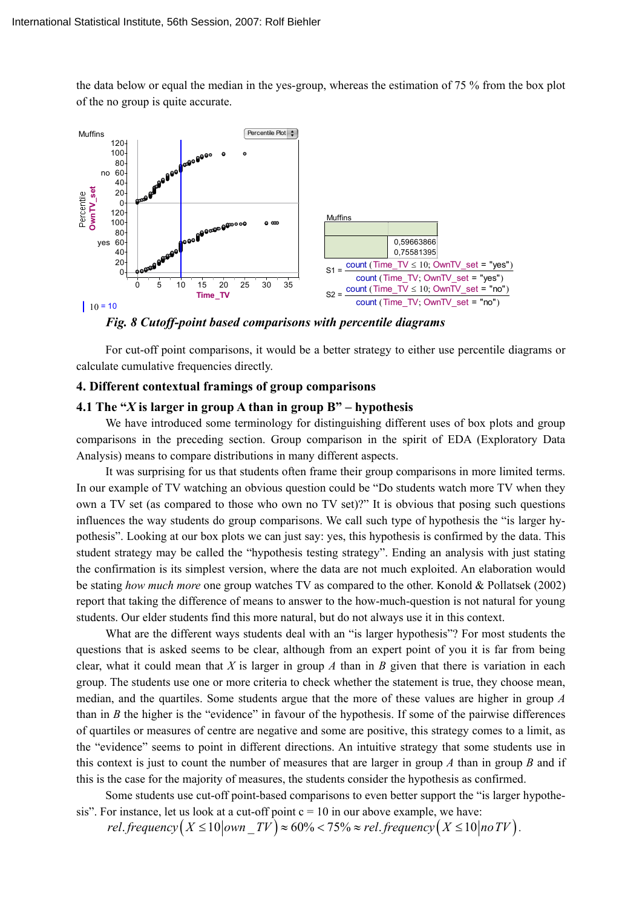the data below or equal the median in the yes-group, whereas the estimation of 75 % from the box plot of the no group is quite accurate.



*Fig. 8 Cutoff-point based comparisons with percentile diagrams* 

For cut-off point comparisons, it would be a better strategy to either use percentile diagrams or calculate cumulative frequencies directly.

## **4. Different contextual framings of group comparisons**

## **4.1 The "***X* **is larger in group A than in group B" – hypothesis**

We have introduced some terminology for distinguishing different uses of box plots and group comparisons in the preceding section. Group comparison in the spirit of EDA (Exploratory Data Analysis) means to compare distributions in many different aspects.

It was surprising for us that students often frame their group comparisons in more limited terms. In our example of TV watching an obvious question could be "Do students watch more TV when they own a TV set (as compared to those who own no TV set)?" It is obvious that posing such questions influences the way students do group comparisons. We call such type of hypothesis the "is larger hypothesis". Looking at our box plots we can just say: yes, this hypothesis is confirmed by the data. This student strategy may be called the "hypothesis testing strategy". Ending an analysis with just stating the confirmation is its simplest version, where the data are not much exploited. An elaboration would be stating *how much more* one group watches TV as compared to the other. Konold & Pollatsek (2002) report that taking the difference of means to answer to the how-much-question is not natural for young students. Our elder students find this more natural, but do not always use it in this context.

What are the different ways students deal with an "is larger hypothesis"? For most students the questions that is asked seems to be clear, although from an expert point of you it is far from being clear, what it could mean that *X* is larger in group *A* than in *B* given that there is variation in each group. The students use one or more criteria to check whether the statement is true, they choose mean, median, and the quartiles. Some students argue that the more of these values are higher in group *A* than in *B* the higher is the "evidence" in favour of the hypothesis. If some of the pairwise differences of quartiles or measures of centre are negative and some are positive, this strategy comes to a limit, as the "evidence" seems to point in different directions. An intuitive strategy that some students use in this context is just to count the number of measures that are larger in group *A* than in group *B* and if this is the case for the majority of measures, the students consider the hypothesis as confirmed.

Some students use cut-off point-based comparisons to even better support the "is larger hypothesis". For instance, let us look at a cut-off point  $c = 10$  in our above example, we have:

*rel frequency*  $(X \le 10$  |  $own_T V \approx 60\% < 75\% \approx rel$  *frequency*  $(X \le 10$  | no TV \.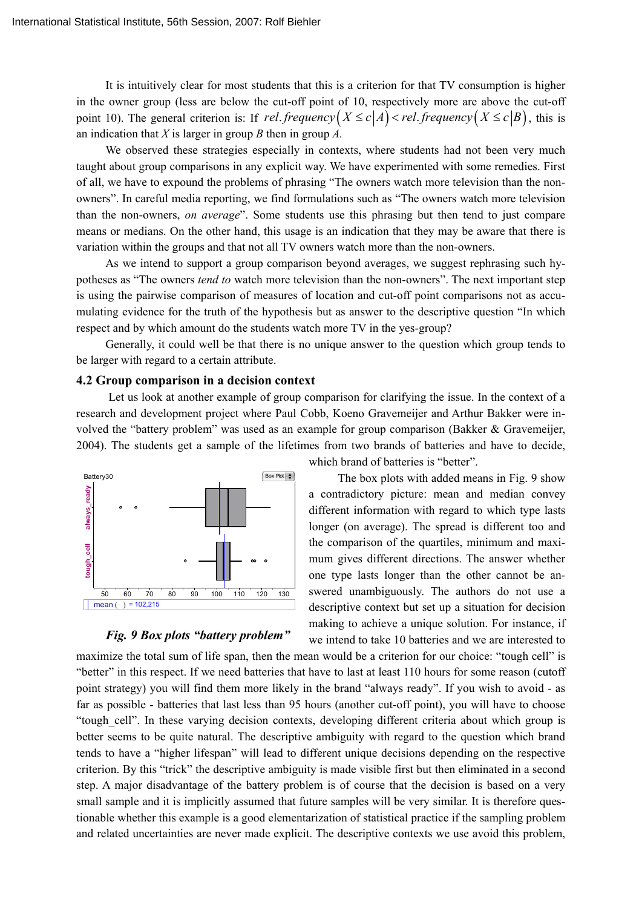It is intuitively clear for most students that this is a criterion for that TV consumption is higher in the owner group (less are below the cut-off point of 10, respectively more are above the cut-off point 10). The general criterion is: If *rel frequency*  $(X \le c | A) < rel$  frequency  $(X \le c | B)$ , this is an indication that *X* is larger in group *B* then in group *A.*

We observed these strategies especially in contexts, where students had not been very much taught about group comparisons in any explicit way. We have experimented with some remedies. First of all, we have to expound the problems of phrasing "The owners watch more television than the nonowners". In careful media reporting, we find formulations such as "The owners watch more television than the non-owners, *on average*". Some students use this phrasing but then tend to just compare means or medians. On the other hand, this usage is an indication that they may be aware that there is variation within the groups and that not all TV owners watch more than the non-owners.

As we intend to support a group comparison beyond averages, we suggest rephrasing such hypotheses as "The owners *tend to* watch more television than the non-owners". The next important step is using the pairwise comparison of measures of location and cut-off point comparisons not as accumulating evidence for the truth of the hypothesis but as answer to the descriptive question "In which respect and by which amount do the students watch more TV in the yes-group?

Generally, it could well be that there is no unique answer to the question which group tends to be larger with regard to a certain attribute.

#### **4.2 Group comparison in a decision context**

 Let us look at another example of group comparison for clarifying the issue. In the context of a research and development project where Paul Cobb, Koeno Gravemeijer and Arthur Bakker were involved the "battery problem" was used as an example for group comparison (Bakker & Gravemeijer, 2004). The students get a sample of the lifetimes from two brands of batteries and have to decide,



#### *Fig. 9 Box plots "battery problem"*

which brand of batteries is "better".

The box plots with added means in Fig. 9 show a contradictory picture: mean and median convey different information with regard to which type lasts longer (on average). The spread is different too and the comparison of the quartiles, minimum and maximum gives different directions. The answer whether one type lasts longer than the other cannot be answered unambiguously. The authors do not use a descriptive context but set up a situation for decision making to achieve a unique solution. For instance, if we intend to take 10 batteries and we are interested to

maximize the total sum of life span, then the mean would be a criterion for our choice: "tough cell" is "better" in this respect. If we need batteries that have to last at least 110 hours for some reason (cutoff point strategy) you will find them more likely in the brand "always ready". If you wish to avoid - as far as possible - batteries that last less than 95 hours (another cut-off point), you will have to choose "tough\_cell". In these varying decision contexts, developing different criteria about which group is better seems to be quite natural. The descriptive ambiguity with regard to the question which brand tends to have a "higher lifespan" will lead to different unique decisions depending on the respective criterion. By this "trick" the descriptive ambiguity is made visible first but then eliminated in a second step. A major disadvantage of the battery problem is of course that the decision is based on a very small sample and it is implicitly assumed that future samples will be very similar. It is therefore questionable whether this example is a good elementarization of statistical practice if the sampling problem and related uncertainties are never made explicit. The descriptive contexts we use avoid this problem,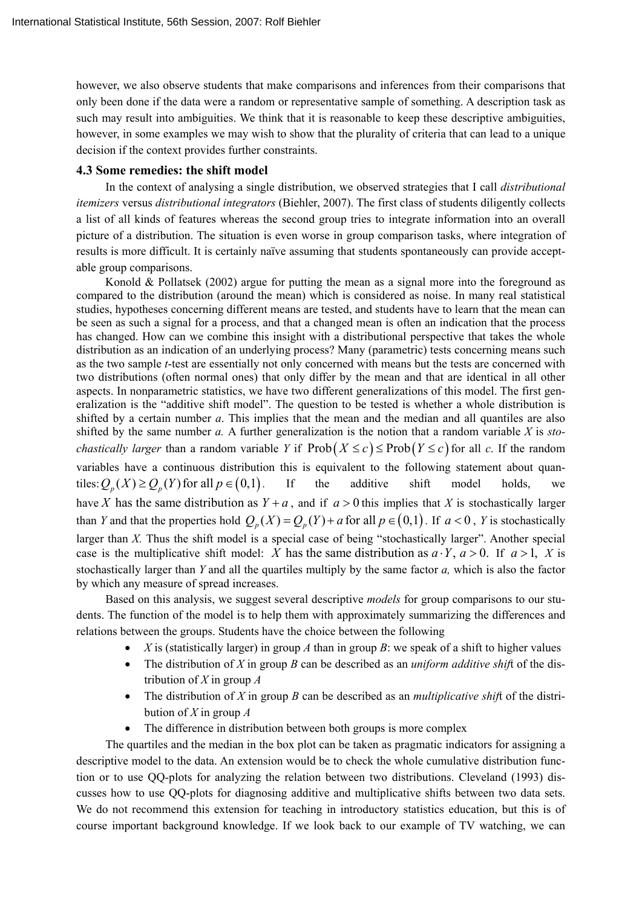however, we also observe students that make comparisons and inferences from their comparisons that only been done if the data were a random or representative sample of something. A description task as such may result into ambiguities. We think that it is reasonable to keep these descriptive ambiguities, however, in some examples we may wish to show that the plurality of criteria that can lead to a unique decision if the context provides further constraints.

## **4.3 Some remedies: the shift model**

In the context of analysing a single distribution, we observed strategies that I call *distributional itemizers* versus *distributional integrators* (Biehler, 2007). The first class of students diligently collects a list of all kinds of features whereas the second group tries to integrate information into an overall picture of a distribution. The situation is even worse in group comparison tasks, where integration of results is more difficult. It is certainly naïve assuming that students spontaneously can provide acceptable group comparisons.

Konold & Pollatsek (2002) argue for putting the mean as a signal more into the foreground as compared to the distribution (around the mean) which is considered as noise. In many real statistical studies, hypotheses concerning different means are tested, and students have to learn that the mean can be seen as such a signal for a process, and that a changed mean is often an indication that the process has changed. How can we combine this insight with a distributional perspective that takes the whole distribution as an indication of an underlying process? Many (parametric) tests concerning means such as the two sample *t*-test are essentially not only concerned with means but the tests are concerned with two distributions (often normal ones) that only differ by the mean and that are identical in all other aspects. In nonparametric statistics, we have two different generalizations of this model. The first generalization is the "additive shift model". The question to be tested is whether a whole distribution is shifted by a certain number *a*. This implies that the mean and the median and all quantiles are also shifted by the same number *a.* A further generalization is the notion that a random variable *X* is *stochastically larger* than a random variable *Y* if  $\text{Prob}(X \le c) \le \text{Prob}(Y \le c)$  for all *c*. If the random variables have a continuous distribution this is equivalent to the following statement about quantiles:  $Q_n(X) \ge Q_n(Y)$  for all  $p \in (0,1)$ . If the additive shift model holds, we have *X* has the same distribution as  $Y + a$ , and if  $a > 0$  this implies that *X* is stochastically larger than *Y* and that the properties hold  $Q_n(X) = Q_n(Y) + a$  for all  $p \in (0,1)$ . If  $a < 0$ , *Y* is stochastically larger than *X*. Thus the shift model is a special case of being "stochastically larger". Another special case is the multiplicative shift model: *X* has the same distribution as  $a \cdot Y$ ,  $a > 0$ . If  $a > 1$ , *X* is stochastically larger than *Y* and all the quartiles multiply by the same factor *a,* which is also the factor by which any measure of spread increases.

Based on this analysis, we suggest several descriptive *models* for group comparisons to our students. The function of the model is to help them with approximately summarizing the differences and relations between the groups. Students have the choice between the following

- X is (statistically larger) in group A than in group B; we speak of a shift to higher values
- The distribution of *X* in group *B* can be described as an *uniform additive shif*t of the distribution of *X* in group *A*
- The distribution of *X* in group *B* can be described as an *multiplicative shif*t of the distribution of *X* in group *A*
- The difference in distribution between both groups is more complex

The quartiles and the median in the box plot can be taken as pragmatic indicators for assigning a descriptive model to the data. An extension would be to check the whole cumulative distribution function or to use QQ-plots for analyzing the relation between two distributions. Cleveland (1993) discusses how to use QQ-plots for diagnosing additive and multiplicative shifts between two data sets. We do not recommend this extension for teaching in introductory statistics education, but this is of course important background knowledge. If we look back to our example of TV watching, we can